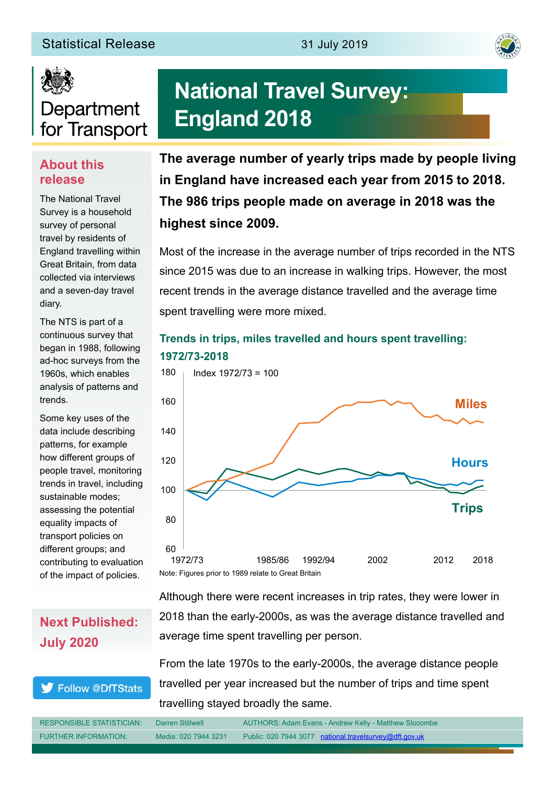#### Statistical Release 31 July 2019





# Department for Transport

#### **About this release**

The National Travel Survey is a household survey of personal travel by residents of England travelling within Great Britain, from data collected via interviews and a seven-day travel diary.

The NTS is part of a continuous survey that began in 1988, following ad-hoc surveys from the 1960s, which enables analysis of patterns and trends.

Some key uses of the data include describing patterns, for example how different groups of people travel, monitoring trends in travel, including sustainable modes; assessing the potential equality impacts of transport policies on different groups; and contributing to evaluation of the impact of policies.

# **National Travel Survey: England 2018**

**The average number of yearly trips made by people living in England have increased each year from 2015 to 2018. The 986 trips people made on average in 2018 was the highest since 2009.**

Most of the increase in the average number of trips recorded in the NTS since 2015 was due to an increase in walking trips. However, the most recent trends in the average distance travelled and the average time spent travelling were more mixed.

#### **Trends in trips, miles travelled and hours spent travelling: 1972/73-2018**



### **Next Published: July 2020**

#### Follow @DfTStats

Although there were recent increases in trip rates, they were lower in 2018 than the early-2000s, as was the average distance travelled and average time spent travelling per person.

From the late 1970s to the early-2000s, the average distance people travelled per year increased but the number of trips and time spent travelling stayed broadly the same.

| <b>RESPONSIBLE STATISTICIAN:</b> | Darren Stillwell     | AUTHORS: Adam Evans - Andrew Kelly - Matthew Slocombe  |
|----------------------------------|----------------------|--------------------------------------------------------|
| <b>FURTHER INFORMATION:</b>      | Media: 020 7944 3231 | Public: 020 7944 3077 national.travelsurvey@dft.gov.uk |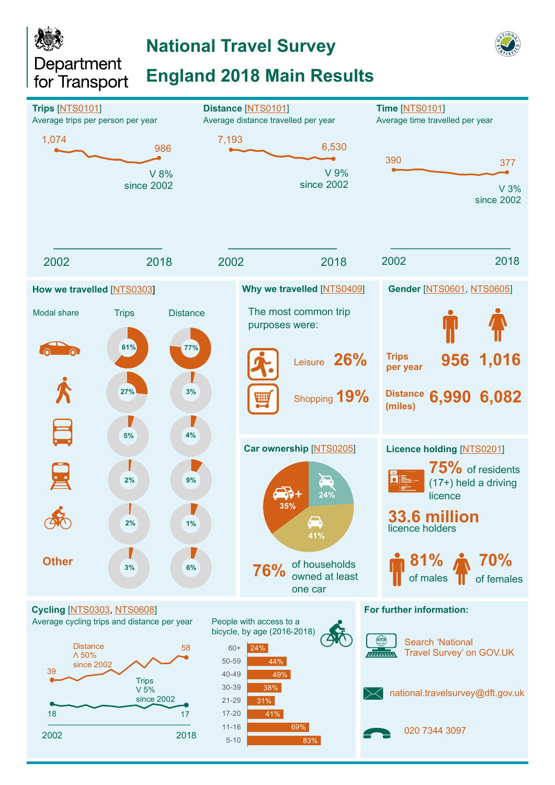Department for Transport

## **National Travel Survey**

## **England 2018 Main Results**

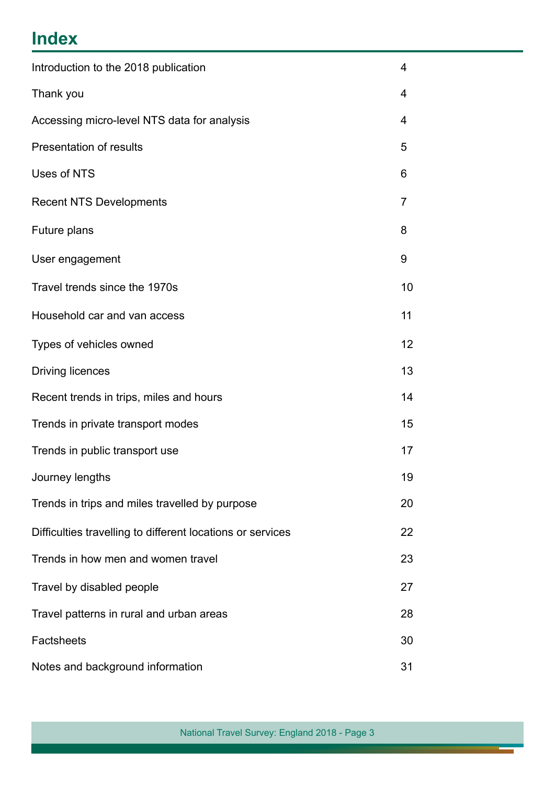## **Index**

| Introduction to the 2018 publication                       |    |  |
|------------------------------------------------------------|----|--|
| Thank you                                                  |    |  |
| Accessing micro-level NTS data for analysis                |    |  |
| Presentation of results                                    |    |  |
| Uses of NTS                                                | 6  |  |
| <b>Recent NTS Developments</b>                             | 7  |  |
| Future plans                                               | 8  |  |
| User engagement                                            | 9  |  |
| Travel trends since the 1970s                              | 10 |  |
| Household car and van access                               | 11 |  |
| Types of vehicles owned                                    | 12 |  |
| <b>Driving licences</b>                                    | 13 |  |
| Recent trends in trips, miles and hours                    | 14 |  |
| Trends in private transport modes                          | 15 |  |
| Trends in public transport use                             | 17 |  |
| Journey lengths                                            | 19 |  |
| Trends in trips and miles travelled by purpose             | 20 |  |
| Difficulties travelling to different locations or services | 22 |  |
| Trends in how men and women travel                         | 23 |  |
| Travel by disabled people                                  | 27 |  |
| Travel patterns in rural and urban areas                   |    |  |
| <b>Factsheets</b>                                          |    |  |
| Notes and background information                           |    |  |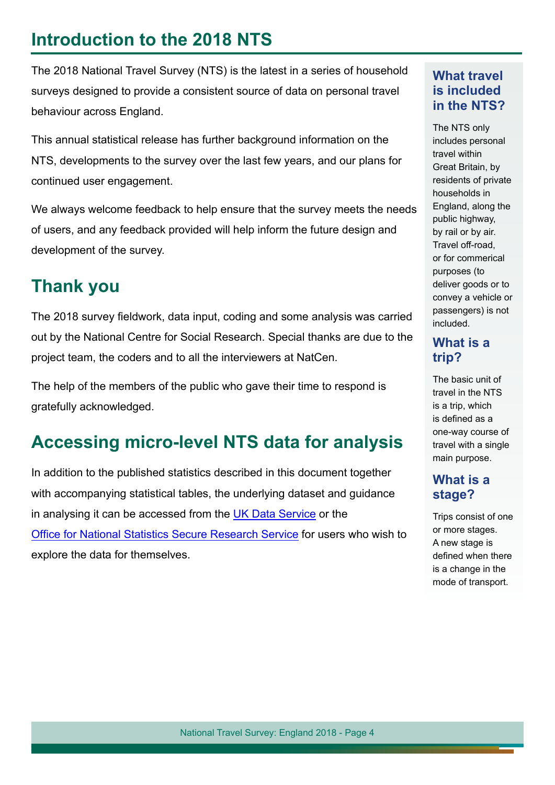## **Introduction to the 2018 NTS**

The 2018 National Travel Survey (NTS) is the latest in a series of household surveys designed to provide a consistent source of data on personal travel behaviour across England.

This annual statistical release has further background information on the NTS, developments to the survey over the last few years, and our plans for continued user engagement.

We always welcome feedback to help ensure that the survey meets the needs of users, and any feedback provided will help inform the future design and development of the survey.

### **Thank you**

The 2018 survey fieldwork, data input, coding and some analysis was carried out by the National Centre for Social Research. Special thanks are due to the project team, the coders and to all the interviewers at NatCen.

The help of the members of the public who gave their time to respond is gratefully acknowledged.

## **Accessing micro-level NTS data for analysis**

In addition to the published statistics described in this document together with accompanying statistical tables, the underlying dataset and guidance in analysing it can be accessed from the [UK Data Service](https://beta.ukdataservice.ac.uk/datacatalogue/studies/study?id=5340) or the [Office for National Statistics Secure Research Service](https://www.ons.gov.uk/aboutus/whatwedo/paidservices/virtualmicrodatalaboratoryvml) for users who wish to explore the data for themselves.

#### **What travel is included in the NTS?**

The NTS only includes personal travel within Great Britain, by residents of private households in England, along the public highway, by rail or by air. Travel off-road, or for commerical purposes (to deliver goods or to convey a vehicle or passengers) is not included.

### **What is a trip?**

The basic unit of travel in the NTS is a trip, which is defned as a one-way course of travel with a single main purpose.

#### **What is a stage?**

Trips consist of one or more stages. A new stage is defined when there is a change in the mode of transport.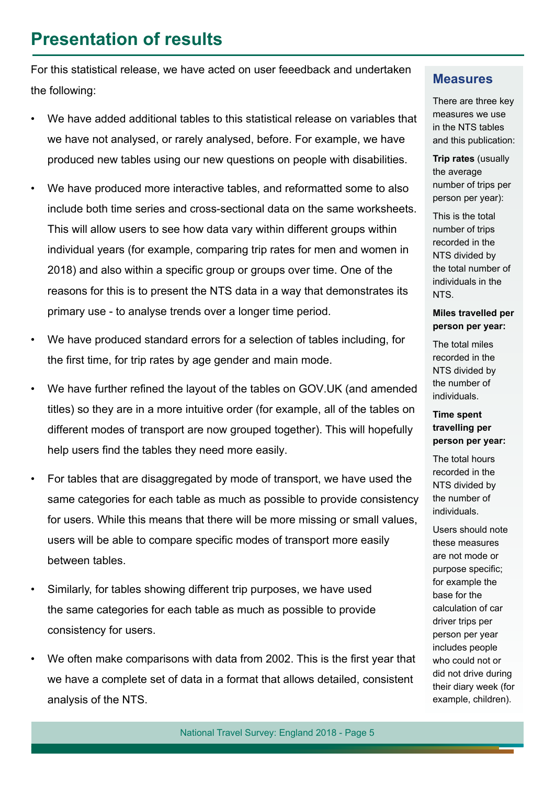### **Presentation of results**

For this statistical release, we have acted on user feeedback and undertaken the following:

- We have added additional tables to this statistical release on variables that we have not analysed, or rarely analysed, before. For example, we have produced new tables using our new questions on people with disabilities.
- We have produced more interactive tables, and reformatted some to also include both time series and cross-sectional data on the same worksheets. This will allow users to see how data vary within different groups within individual years (for example, comparing trip rates for men and women in 2018) and also within a specific group or groups over time. One of the reasons for this is to present the NTS data in a way that demonstrates its primary use - to analyse trends over a longer time period.
- We have produced standard errors for a selection of tables including, for the first time, for trip rates by age gender and main mode.
- We have further refined the layout of the tables on GOV.UK (and amended titles) so they are in a more intuitive order (for example, all of the tables on different modes of transport are now grouped together). This will hopefully help users find the tables they need more easily.
- For tables that are disaggregated by mode of transport, we have used the same categories for each table as much as possible to provide consistency for users. While this means that there will be more missing or small values, users will be able to compare specific modes of transport more easily between tables.
- Similarly, for tables showing different trip purposes, we have used the same categories for each table as much as possible to provide consistency for users.
- We often make comparisons with data from 2002. This is the first year that we have a complete set of data in a format that allows detailed, consistent analysis of the NTS.

#### **Measures**

There are three key measures we use in the NTS tables and this publication:

**Trip rates** (usually the average number of trips per person per year):

This is the total number of trips recorded in the NTS divided by the total number of individuals in the NTS.

#### **Miles travelled per person per year:**

The total miles recorded in the NTS divided by the number of individuals.

#### **Time spent travelling per person per year:**

The total hours recorded in the NTS divided by the number of individuals.

Users should note these measures are not mode or purpose specific; for example the base for the calculation of car driver trips per person per year includes people who could not or did not drive during their diary week (for example, children).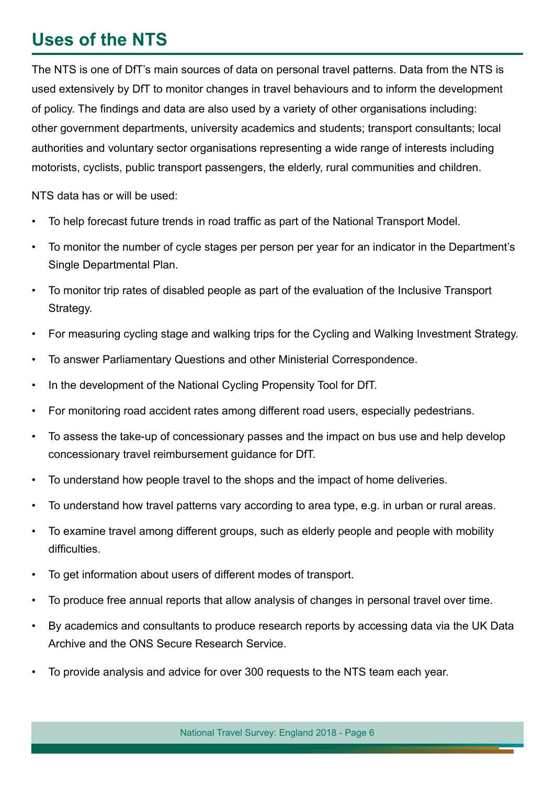## **Uses of the NTS**

The NTS is one of DfT's main sources of data on personal travel patterns. Data from the NTS is used extensively by DfT to monitor changes in travel behaviours and to inform the development of policy. The fndings and data are also used by a variety of other organisations including: other government departments, university academics and students; transport consultants; local authorities and voluntary sector organisations representing a wide range of interests including motorists, cyclists, public transport passengers, the elderly, rural communities and children.

NTS data has or will be used:

- To help forecast future trends in road traffic as part of the National Transport Model.
- To monitor the number of cycle stages per person per year for an indicator in the Department's Single Departmental Plan.
- To monitor trip rates of disabled people as part of the evaluation of the Inclusive Transport Strategy.
- For measuring cycling stage and walking trips for the Cycling and Walking Investment Strategy.
- To answer Parliamentary Questions and other Ministerial Correspondence.
- In the development of the National Cycling Propensity Tool for DfT.
- For monitoring road accident rates among different road users, especially pedestrians.
- To assess the take-up of concessionary passes and the impact on bus use and help develop concessionary travel reimbursement guidance for DfT.
- To understand how people travel to the shops and the impact of home deliveries.
- To understand how travel patterns vary according to area type, e.g. in urban or rural areas.
- To examine travel among different groups, such as elderly people and people with mobility difficulties.
- To get information about users of different modes of transport.
- To produce free annual reports that allow analysis of changes in personal travel over time.
- By academics and consultants to produce research reports by accessing data via the UK Data Archive and the ONS Secure Research Service.
- To provide analysis and advice for over 300 requests to the NTS team each year.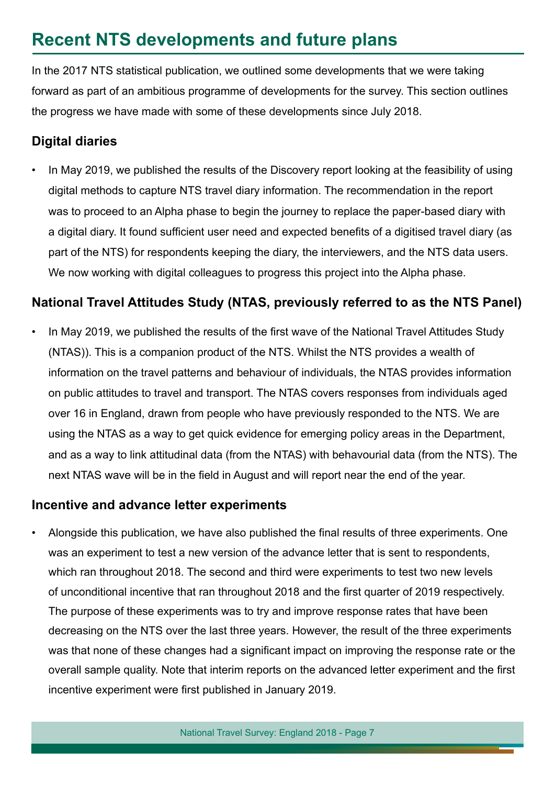## **Recent NTS developments and future plans**

In the 2017 NTS statistical publication, we outlined some developments that we were taking forward as part of an ambitious programme of developments for the survey. This section outlines the progress we have made with some of these developments since July 2018.

### **Digital diaries**

In May 2019, we published the results of the Discovery report looking at the feasibility of using digital methods to capture NTS travel diary information. The recommendation in the [report](https://assets.publishing.service.gov.uk/government/uploads/system/uploads/attachment_data/file/804635/nts-digital-diary-discovery-report.pdf) was to proceed to an Alpha phase to begin the journey to replace the paper-based diary with a digital diary. It found sufficient user need and expected benefits of a digitised travel diary (as part of the NTS) for respondents keeping the diary, the interviewers, and the NTS data users. We now working with digital colleagues to progress this project into the Alpha phase.

### **National Travel Attitudes Study (NTAS, previously referred to as the NTS Panel)**

In May 2019, we published the results of the first wave of the National Travel Attitudes Study (NTAS)). This is a companion product of the NTS. Whilst the NTS provides a wealth of information on the travel patterns and behaviour of individuals, the NTAS provides information on public attitudes to travel and transport. The NTAS covers responses from individuals aged over 16 in England, drawn from people who have previously responded to the NTS. We are using the NTAS as a way to get quick evidence for emerging policy areas in the Department, and as a way to link attitudinal data (from the NTAS) with behavourial data (from the NTS). The next NTAS wave will be in the feld in August and will report near the end of the year.

#### **Incentive and advance letter experiments**

• Alongside this publication, we have also published the fnal results of three experiments. One was an experiment to test a new version of the advance letter that is sent to respondents, which ran throughout 2018. The second and third were experiments to test two new levels of unconditional incentive that ran throughout 2018 and the frst quarter of 2019 respectively. The purpose of these experiments was to try and improve response rates that have been decreasing on the NTS over the last three years. However, the result of the three experiments was that none of these changes had a significant impact on improving the response rate or the overall sample quality. Note that interim reports on the advanced letter experiment and the first incentive experiment were frst published in January 2019.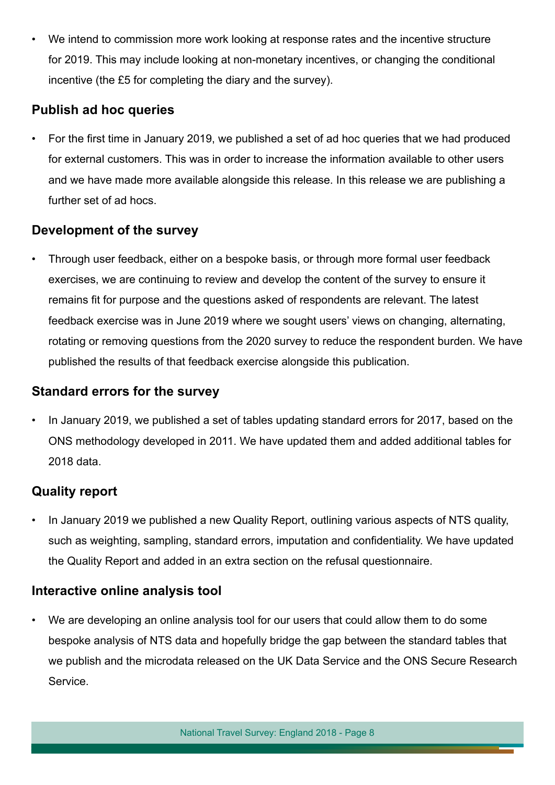• We intend to commission more work looking at response rates and the incentive structure for 2019. This may include looking at non-monetary incentives, or changing the conditional incentive (the £5 for completing the diary and the survey).

#### **Publish ad hoc queries**

• For the frst time in January 2019, we published a set of ad hoc queries that we had produced for external customers. This was in order to increase the information available to other users and we have made more available alongside this release. In this release we are publishing a further set of ad hocs.

#### **Development of the survey**

• Through user feedback, either on a bespoke basis, or through more formal user feedback exercises, we are continuing to review and develop the content of the survey to ensure it remains fit for purpose and the questions asked of respondents are relevant. The latest feedback exercise was in June 2019 where we sought users' views on changing, alternating, rotating or removing questions from the 2020 survey to reduce the respondent burden. We have published the results of that feedback exercise alongside this publication.

#### **Standard errors for the survey**

• In January 2019, we published a set of tables updating standard errors for 2017, based on the ONS methodology developed in 2011. We have updated them and added additional tables for 2018 data.

### **Quality report**

• In January 2019 we published a new Quality Report, outlining various aspects of NTS quality, such as weighting, sampling, standard errors, imputation and confdentiality. We have updated the Quality Report and added in an extra section on the refusal questionnaire.

#### **Interactive online analysis tool**

• We are developing an online analysis tool for our users that could allow them to do some bespoke analysis of NTS data and hopefully bridge the gap between the standard tables that we publish and the microdata released on the UK Data Service and the ONS Secure Research Service.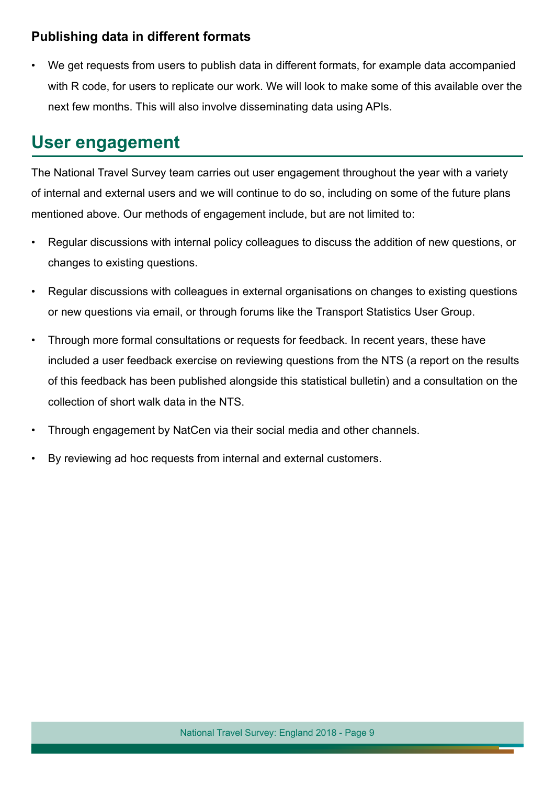#### **Publishing data in different formats**

• We get requests from users to publish data in different formats, for example data accompanied with R code, for users to replicate our work. We will look to make some of this available over the next few months. This will also involve disseminating data using APIs.

### **User engagement**

The National Travel Survey team carries out user engagement throughout the year with a variety of internal and external users and we will continue to do so, including on some of the future plans mentioned above. Our methods of engagement include, but are not limited to:

- Regular discussions with internal policy colleagues to discuss the addition of new questions, or changes to existing questions.
- Regular discussions with colleagues in external organisations on changes to existing questions or new questions via email, or through forums like the Transport Statistics User Group.
- Through more formal consultations or requests for feedback. In recent years, these have included a user feedback exercise on reviewing questions from the NTS (a report on the results of this feedback has been published alongside this statistical bulletin) and a consultation on the collection of short walk data in the NTS.
- Through engagement by NatCen via their social media and other channels.
- By reviewing ad hoc requests from internal and external customers.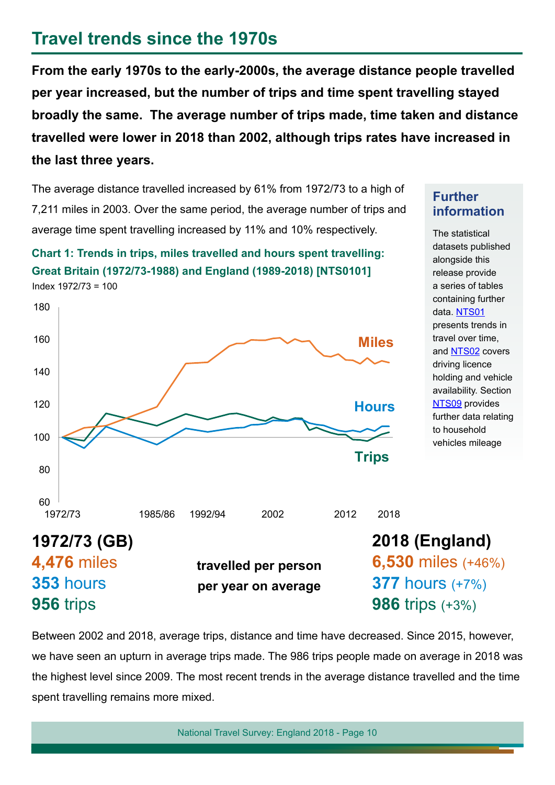### **Travel trends since the 1970s**

Index 1972/73 = 100

**From the early 1970s to the early-2000s, the average distance people travelled per year increased, but the number of trips and time spent travelling stayed broadly the same. The average number of trips made, time taken and distance travelled were lower in 2018 than 2002, although trips rates have increased in the last three years.**

The average distance travelled increased by 61% from 1972/73 to a high of 7,211 miles in 2003. Over the same period, the average number of trips and average time spent travelling increased by 11% and 10% respectively.

**Chart 1: Trends in trips, miles travelled and hours spent travelling:** 

**Great Britain (1972/73-1988) and England (1989-2018) [NTS0101]**

1972/73 1985/86 1992/94 2002 2012 2018 60 80 100 120 140 160 180 **Trips Miles Hours**

#### **Further information**

The statistical datasets published alongside this release provide a series of tables containing further data. [NTS01](https://www.gov.uk/government/statistical-data-sets/nts01-average-number-of-trips-made-and-distance-travelled) presents trends in travel over time, and [NTS02](https://www.gov.uk/government/statistical-data-sets/nts02-driving-licence-holders) covers driving licence holding and vehicle availability. Section [NTS09](https://www.gov.uk/government/statistical-data-sets/nts09-vehicle-mileage-and-occupancy) provides further data relating to household vehicles mileage



Between 2002 and 2018, average trips, distance and time have decreased. Since 2015, however, we have seen an upturn in average trips made. The 986 trips people made on average in 2018 was the highest level since 2009. The most recent trends in the average distance travelled and the time spent travelling remains more mixed.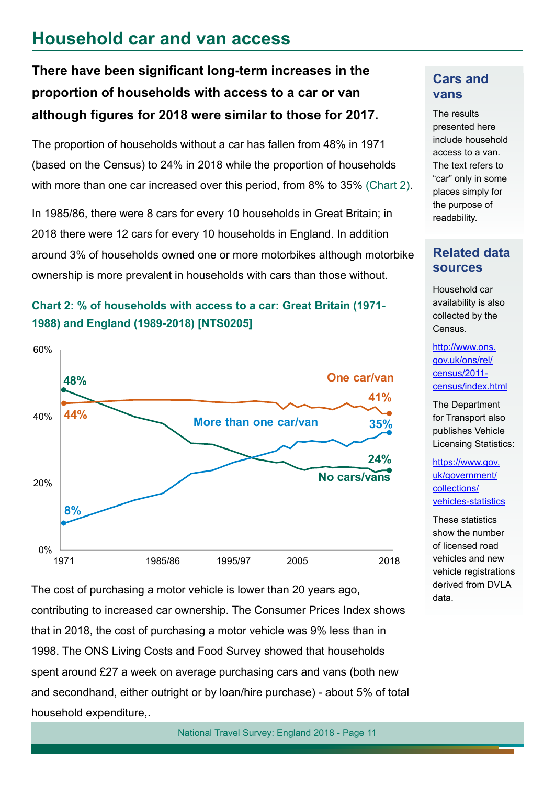### **Household car and van access**

### There have been significant long-term increases in the **proportion of households with access to a car or van although fgures for 2018 were similar to those for 2017.**

The proportion of households without a car has fallen from 48% in 1971 (based on the Census) to 24% in 2018 while the proportion of households with more than one car increased over this period, from 8% to 35% (Chart 2).

In 1985/86, there were 8 cars for every 10 households in Great Britain; in 2018 there were 12 cars for every 10 households in England. In addition around 3% of households owned one or more motorbikes although motorbike ownership is more prevalent in households with cars than those without.

### **Chart 2: % of households with access to a car: Great Britain (1971- 1988) and England (1989-2018) [NTS0205]**



The cost of purchasing a motor vehicle is lower than 20 years ago, contributing to increased car ownership. The Consumer Prices Index shows that in 2018, the cost of purchasing a motor vehicle was 9% less than in 1998. The ONS Living Costs and Food Survey showed that households spent around £27 a week on average purchasing cars and vans (both new and secondhand, either outright or by loan/hire purchase) - about 5% of total household expenditure,.

#### **Cars and vans**

The results presented here include household access to a van. The text refers to "car" only in some places simply for the purpose of readability.

#### **Related data sources**

Household car availability is also collected by the Census.

[http://www.ons.](http://www.ons.gov.uk/ons/rel/census/2011-census/index.html) [gov.uk/ons/rel/](http://www.ons.gov.uk/ons/rel/census/2011-census/index.html) [census/2011](http://www.ons.gov.uk/ons/rel/census/2011-census/index.html) [census/index.html](http://www.ons.gov.uk/ons/rel/census/2011-census/index.html)

The Department for Transport also publishes Vehicle Licensing Statistics:

[https://www.gov.](https://www.gov.uk/government/collections/vehicles-statistics) [uk/government/](https://www.gov.uk/government/collections/vehicles-statistics) [collections/](https://www.gov.uk/government/collections/vehicles-statistics) [vehicles-statistics](https://www.gov.uk/government/collections/vehicles-statistics)

These statistics show the number of licensed road vehicles and new vehicle registrations derived from DVLA data.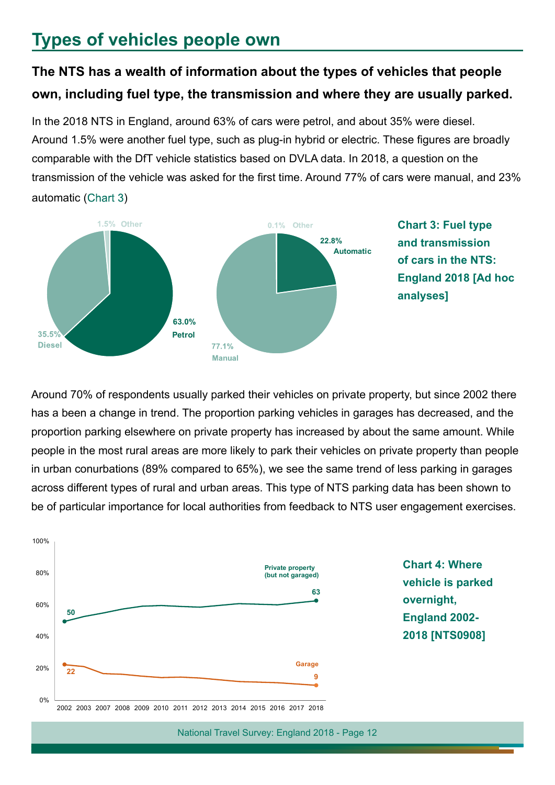### **Types of vehicles people own**

### **The NTS has a wealth of information about the types of vehicles that people own, including fuel type, the transmission and where they are usually parked.**

In the 2018 NTS in England, around 63% of cars were petrol, and about 35% were diesel. Around 1.5% were another fuel type, such as plug-in hybrid or electric. These fgures are broadly comparable with the DfT vehicle statistics based on DVLA data. In 2018, a question on the transmission of the vehicle was asked for the frst time. Around 77% of cars were manual, and 23% automatic (Chart 3)



**Chart 3: Fuel type and transmission of cars in the NTS: England 2018 [Ad hoc analyses]**

Around 70% of respondents usually parked their vehicles on private property, but since 2002 there has a been a change in trend. The proportion parking vehicles in garages has decreased, and the proportion parking elsewhere on private property has increased by about the same amount. While people in the most rural areas are more likely to park their vehicles on private property than people in urban conurbations (89% compared to 65%), we see the same trend of less parking in garages across different types of rural and urban areas. This type of NTS parking data has been shown to be of particular importance for local authorities from feedback to NTS user engagement exercises.

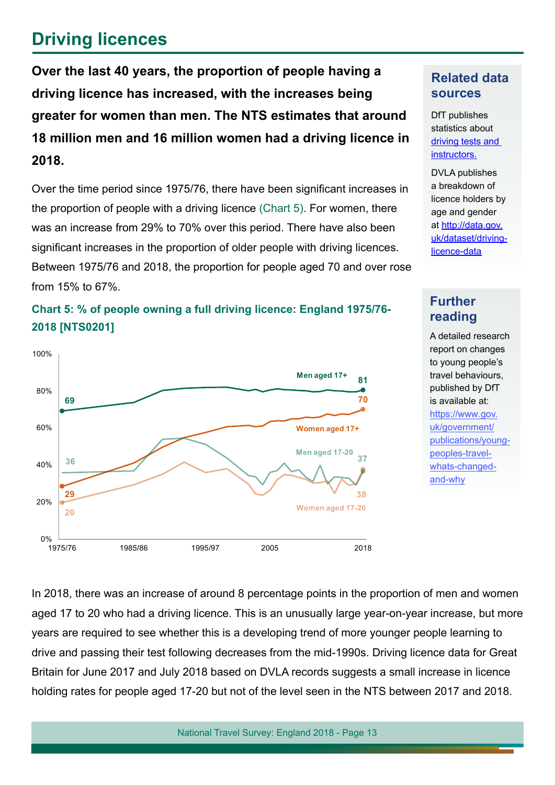## **Driving licences**

**Over the last 40 years, the proportion of people having a driving licence has increased, with the increases being greater for women than men. The NTS estimates that around 18 million men and 16 million women had a driving licence in 2018.**

Over the time period since 1975/76, there have been signifcant increases in the proportion of people with a driving licence (Chart 5). For women, there was an increase from 29% to 70% over this period. There have also been significant increases in the proportion of older people with driving licences. Between 1975/76 and 2018, the proportion for people aged 70 and over rose from 15% to 67%.



#### **Chart 5: % of people owning a full driving licence: England 1975/76- 2018 [NTS0201]**

#### **Related data sources**

DfT publishes statistics about [driving tests and](https://www.gov.uk/government/collections/driving-tests-and-instructors-statistics)  [instructors.](https://www.gov.uk/government/collections/driving-tests-and-instructors-statistics)

DVLA publishes a breakdown of licence holders by age and gender at [http://data.gov.](http://data.gov.uk/dataset/driving-licence-data) [uk/dataset/driving](http://data.gov.uk/dataset/driving-licence-data)[licence-data](http://data.gov.uk/dataset/driving-licence-data)

#### **Further reading**

A detailed research report on changes to young people's travel behaviours, published by DfT is available at: [https://www.gov.](https://www.gov.uk/government/publications/young-peoples-travel-whats-changed-and-why) [uk/government/](https://www.gov.uk/government/publications/young-peoples-travel-whats-changed-and-why) [publications/young](https://www.gov.uk/government/publications/young-peoples-travel-whats-changed-and-why)[peoples-travel](https://www.gov.uk/government/publications/young-peoples-travel-whats-changed-and-why)[whats-changed-](https://www.gov.uk/government/publications/young-peoples-travel-whats-changed-and-why)

[and-why](https://www.gov.uk/government/publications/young-peoples-travel-whats-changed-and-why)

In 2018, there was an increase of around 8 percentage points in the proportion of men and women aged 17 to 20 who had a driving licence. This is an unusually large year-on-year increase, but more years are required to see whether this is a developing trend of more younger people learning to drive and passing their test following decreases from the mid-1990s. Driving licence data for Great Britain for June 2017 and July 2018 based on DVLA records suggests a small increase in licence holding rates for people aged 17-20 but not of the level seen in the NTS between 2017 and 2018.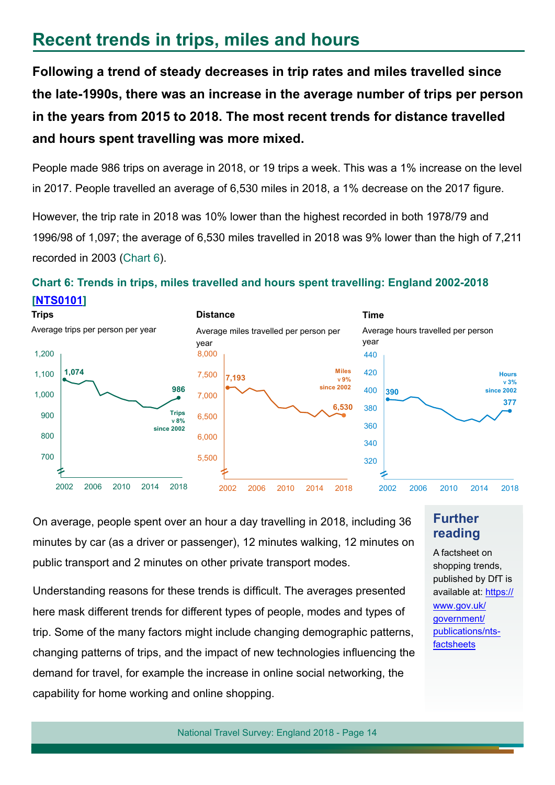### **Recent trends in trips, miles and hours**

**Following a trend of steady decreases in trip rates and miles travelled since the late-1990s, there was an increase in the average number of trips per person in the years from 2015 to 2018. The most recent trends for distance travelled and hours spent travelling was more mixed.**

People made 986 trips on average in 2018, or 19 trips a week. This was a 1% increase on the level in 2017. People travelled an average of 6,530 miles in 2018, a 1% decrease on the 2017 fgure.

However, the trip rate in 2018 was 10% lower than the highest recorded in both 1978/79 and 1996/98 of 1,097; the average of 6,530 miles travelled in 2018 was 9% lower than the high of 7,211 recorded in 2003 (Chart 6).

#### **Chart 6: Trends in trips, miles travelled and hours spent travelling: England 2002-2018 [\[NTS0101\]](https://www.gov.uk/government/statistical-data-sets/nts01-average-number-of-trips-made-and-distance-travelled)**



On average, people spent over an hour a day travelling in 2018, including 36 minutes by car (as a driver or passenger), 12 minutes walking, 12 minutes on public transport and 2 minutes on other private transport modes.

Understanding reasons for these trends is difficult. The averages presented here mask different trends for different types of people, modes and types of trip. Some of the many factors might include changing demographic patterns, changing patterns of trips, and the impact of new technologies infuencing the demand for travel, for example the increase in online social networking, the capability for home working and online shopping.

#### **Further reading**

A factsheet on shopping trends, published by DfT is available at: https:// www.gov.uk/ government/ [publications/nts](https://www.gov.uk/government/publications/nts-factsheets)factsheets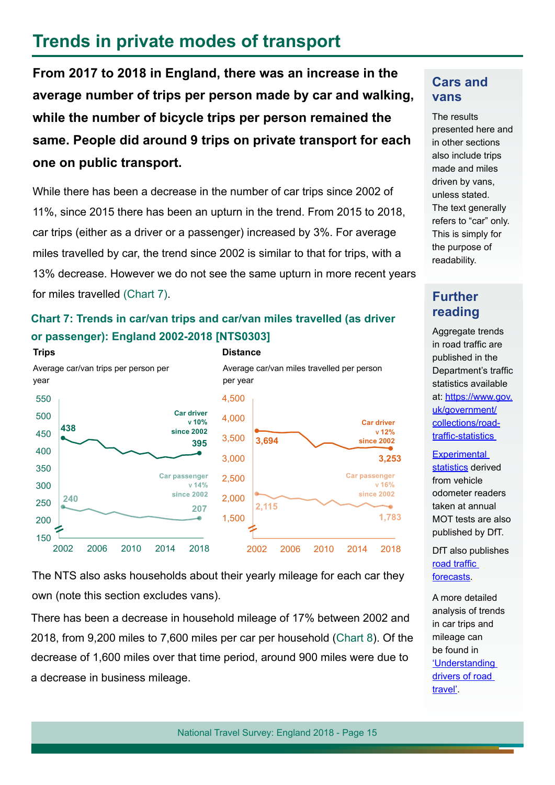### **Trends in private modes of transport**

**From 2017 to 2018 in England, there was an increase in the average number of trips per person made by car and walking, while the number of bicycle trips per person remained the same. People did around 9 trips on private transport for each one on public transport.**

While there has been a decrease in the number of car trips since 2002 of 11%, since 2015 there has been an upturn in the trend. From 2015 to 2018, car trips (either as a driver or a passenger) increased by 3%. For average miles travelled by car, the trend since 2002 is similar to that for trips, with a 13% decrease. However we do not see the same upturn in more recent years for miles travelled (Chart 7).

#### **Chart 7: Trends in car/van trips and car/van miles travelled (as driver or passenger): England 2002-2018 [NTS0303]**



The NTS also asks households about their yearly mileage for each car they own (note this section excludes vans).

There has been a decrease in household mileage of 17% between 2002 and 2018, from 9,200 miles to 7,600 miles per car per household (Chart 8). Of the decrease of 1,600 miles over that time period, around 900 miles were due to a decrease in business mileage.

#### **Cars and vans**

The results presented here and in other sections also include trips made and miles driven by vans, unless stated. The text generally refers to "car" only. This is simply for the purpose of readability.

### **Further reading**

Aggregate trends in road traffic are published in the Department's traffic statistics available at: [https://www.gov.](https://www.gov.uk/government/collections/road-traffic-statistics) [uk/government/](https://www.gov.uk/government/collections/road-traffic-statistics) [collections/road](https://www.gov.uk/government/collections/road-traffic-statistics)traffic-statistics

**Experimental** [statistics](https://www.gov.uk/government/statistics/experimental-statistics-analysis-of-vehicle-odometer-readings-recorded-at-mot-tests) derived from vehicle odometer readers taken at annual MOT tests are also published by DfT.

DfT also publishes road traffic [forecasts.](https://www.gov.uk/government/publications/road-traffic-forecasts-2018)

A more detailed analysis of trends in car trips and mileage can be found in ['Understanding](https://www.gov.uk/government/uploads/system/uploads/attachment_data/file/395722/understanding-the-drivers-road_travel.pdf)  drivers of road [travel'.](https://assets.publishing.service.gov.uk/government/uploads/system/uploads/attachment_data/file/703080/understanding-the-drivers-road_travel.pdf)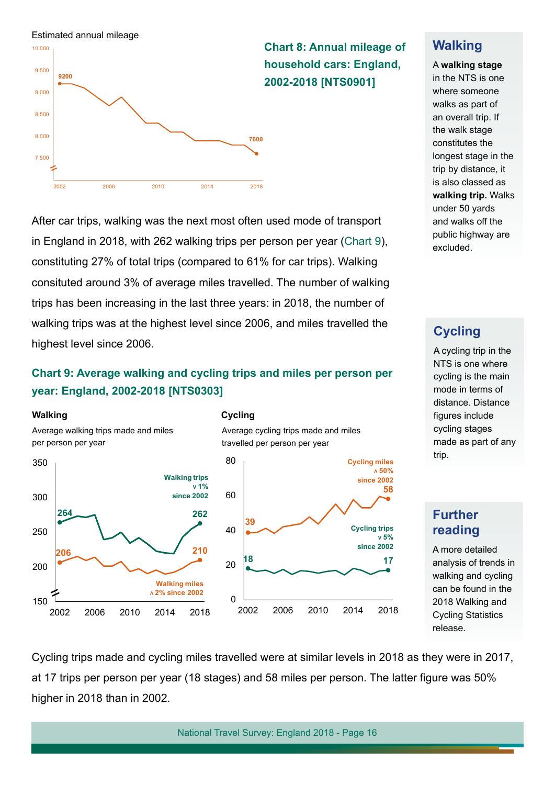

After car trips, walking was the next most often used mode of transport in England in 2018, with 262 walking trips per person per year (Chart 9), constituting 27% of total trips (compared to 61% for car trips). Walking consituted around 3% of average miles travelled. The number of walking trips has been increasing in the last three years: in 2018, the number of walking trips was at the highest level since 2006, and miles travelled the highest level since 2006.

#### **Chart 9: Average walking and cycling trips and miles per person per year: England, 2002-2018 [NTS0303]**

#### **Walking**

Average walking trips made and miles per person per year







#### **Walking**

#### A **walking stage**

in the NTS is one where someone walks as part of an overall trip. If the walk stage constitutes the longest stage in the trip by distance, it is also classed as **walking trip.** Walks under 50 yards and walks off the public highway are excluded.

#### **Cycling**

A cycling trip in the NTS is one where cycling is the main mode in terms of distance. Distance figures include cycling stages made as part of any trip.

#### **Further reading**

A more detailed analysis of trends in walking and cycling can be found in the 2018 [Walking and](https://www.gov.uk/government/collections/walking-and-cycling-statistics)  [Cycling Statistics](https://www.gov.uk/government/collections/walking-and-cycling-statistics)  release.

Cycling trips made and cycling miles travelled were at similar levels in 2018 as they were in 2017, at 17 trips per person per year (18 stages) and 58 miles per person. The latter fgure was 50% higher in 2018 than in 2002.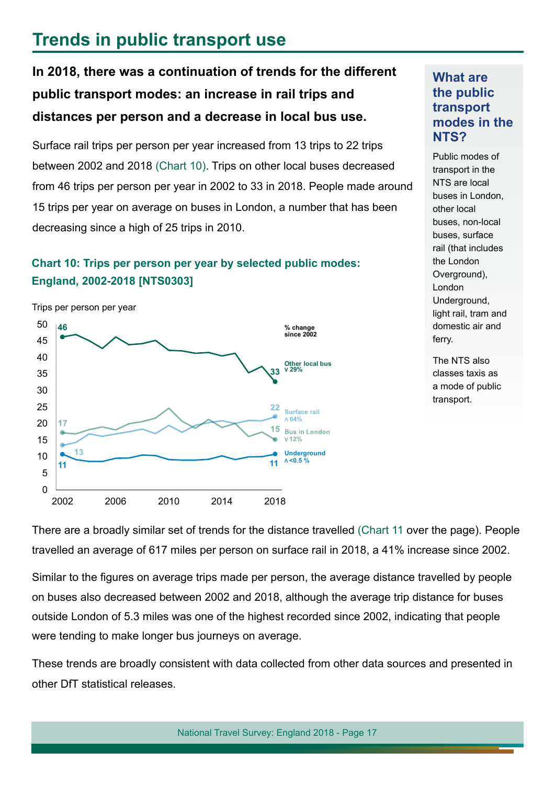### **Trends in public transport use**

**In 2018, there was a continuation of trends for the different public transport modes: an increase in rail trips and distances per person and a decrease in local bus use.**

Surface rail trips per person per year increased from 13 trips to 22 trips between 2002 and 2018 (Chart 10). Trips on other local buses decreased from 46 trips per person per year in 2002 to 33 in 2018. People made around 15 trips per year on average on buses in London, a number that has been decreasing since a high of 25 trips in 2010.

#### **Chart 10: Trips per person per year by selected public modes: England, 2002-2018 [NTS0303]**

Trips per person per year



**What are the public transport modes in the NTS?**

Public modes of transport in the NTS are local buses in London, other local buses, non-local buses, surface rail (that includes the London Overground), London Underground, light rail, tram and domestic air and ferry.

The NTS also classes taxis as a mode of public transport.

There are a broadly similar set of trends for the distance travelled (Chart 11 over the page). People travelled an average of 617 miles per person on surface rail in 2018, a 41% increase since 2002.

Similar to the figures on average trips made per person, the average distance travelled by people on buses also decreased between 2002 and 2018, although the average trip distance for buses outside London of 5.3 miles was one of the highest recorded since 2002, indicating that people were tending to make longer bus journeys on average.

These trends are broadly consistent with data collected from other data sources and presented in other DfT statistical releases.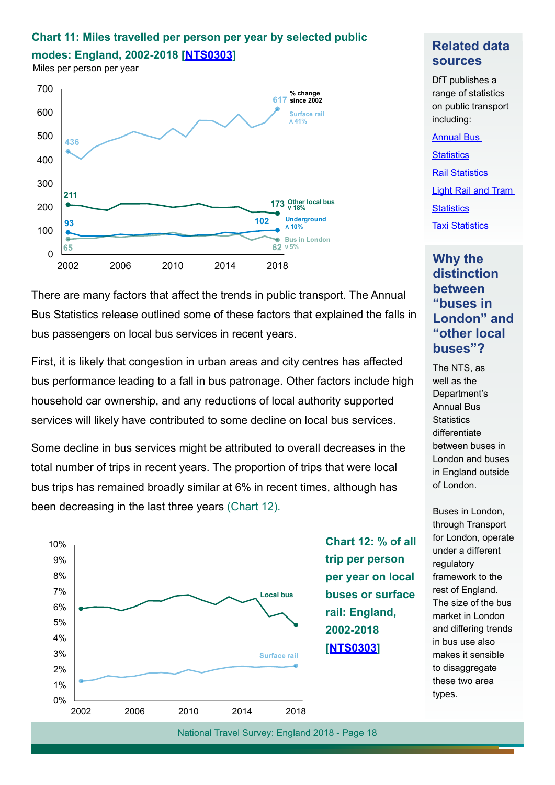### **Chart 11: Miles travelled per person per year by selected public**

**modes: England, 2002-2018 [[NTS0303](https://www.gov.uk/government/statistical-data-sets/nts03-modal-comparisons)]**

Miles per person per year



### There are many factors that affect the trends in public transport. The Annual Bus Statistics release outlined some of these factors that explained the falls in bus passengers on local bus services in recent years.

First, it is likely that congestion in urban areas and city centres has affected bus performance leading to a fall in bus patronage. Other factors include high household car ownership, and any reductions of local authority supported services will likely have contributed to some decline on local bus services.

Some decline in bus services might be attributed to overall decreases in the total number of trips in recent years. The proportion of trips that were local bus trips has remained broadly similar at 6% in recent times, although has been decreasing in the last three years (Chart 12).



#### **Related data sources**

DfT publishes a range of statistics on public transport including:

[Annual Bus](https://www.gov.uk/government/collections/bus-statistics)  **[Statistics](https://www.gov.uk/government/collections/bus-statistics)** [Rail Statistics](http://www.orr.gov.uk/statistics) [Light Rail and Tram](https://www.gov.uk/government/collections/light-rail-and-tram-statistics)  **[Statistics](https://www.gov.uk/government/collections/light-rail-and-tram-statistics) [Taxi Statistic](https://www.gov.uk/government/collections/taxi-statistics)s** 

#### **Why the distinction between "buses in London" and "other local buses"?**

The NTS, as well as the Department's Annual Bus **Statistics** differentiate between buses in London and buses in England outside of London.

Buses in London, through Transport for London, operate under a different regulatory framework to the rest of England. The size of the bus market in London and differing trends in bus use also makes it sensible to disaggregate these two area types.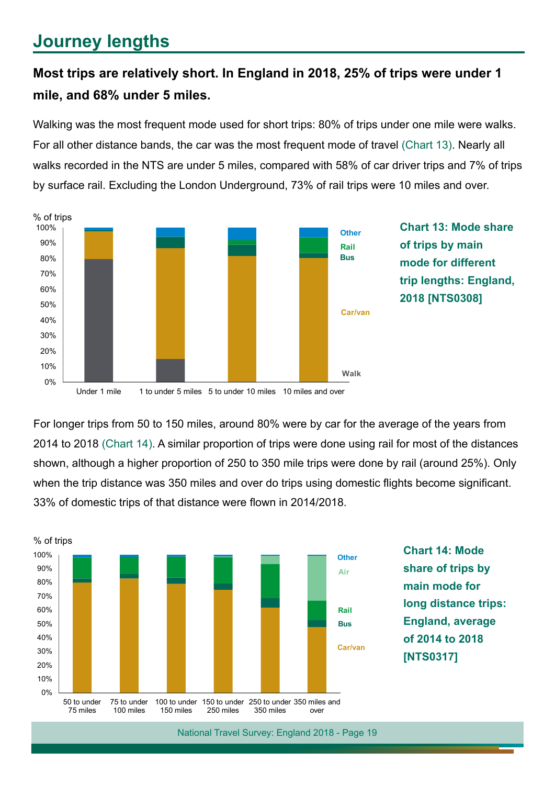## **Journey lengths**

### **Most trips are relatively short. In England in 2018, 25% of trips were under 1 mile, and 68% under 5 miles.**

Walking was the most frequent mode used for short trips: 80% of trips under one mile were walks. For all other distance bands, the car was the most frequent mode of travel (Chart 13). Nearly all walks recorded in the NTS are under 5 miles, compared with 58% of car driver trips and 7% of trips by surface rail. Excluding the London Underground, 73% of rail trips were 10 miles and over.



**Chart 13: Mode share of trips by main mode for different trip lengths: England, 2018 [NTS0308]**

For longer trips from 50 to 150 miles, around 80% were by car for the average of the years from 2014 to 2018 (Chart 14). A similar proportion of trips were done using rail for most of the distances shown, although a higher proportion of 250 to 350 mile trips were done by rail (around 25%). Only when the trip distance was 350 miles and over do trips using domestic flights become significant. 33% of domestic trips of that distance were fown in 2014/2018.



**Chart 14: Mode share of trips by main mode for long distance trips: England, average of 2014 to 2018 [NTS0317]**

Under 1 mile 1 to under 5 miles 5 to under 10 miles 10 miles and over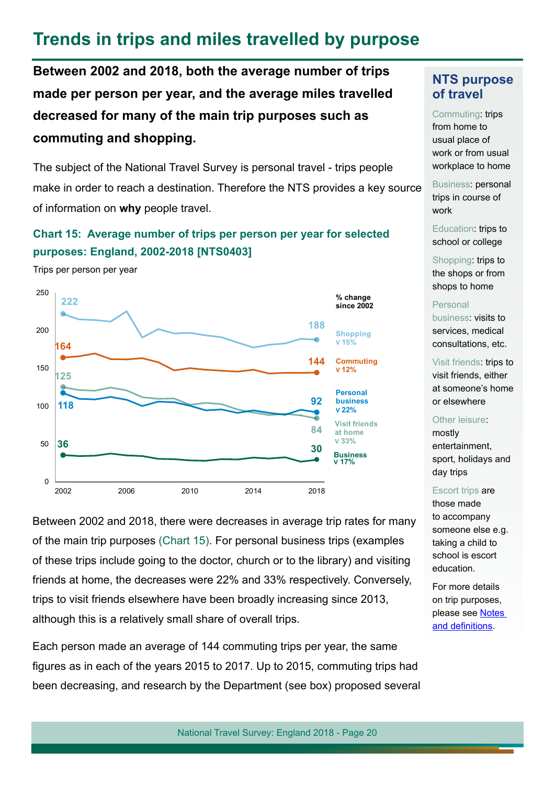### **Trends in trips and miles travelled by purpose**

**Between 2002 and 2018, both the average number of trips made per person per year, and the average miles travelled decreased for many of the main trip purposes such as commuting and shopping.**

The subject of the National Travel Survey is personal travel - trips people make in order to reach a destination. Therefore the NTS provides a key source of information on **why** people travel.

#### **Chart 15: Average number of trips per person per year for selected purposes: England, 2002-2018 [NTS0403]**

Trips per person per year



Between 2002 and 2018, there were decreases in average trip rates for many of the main trip purposes (Chart 15). For personal business trips (examples of these trips include going to the doctor, church or to the library) and visiting friends at home, the decreases were 22% and 33% respectively. Conversely, trips to visit friends elsewhere have been broadly increasing since 2013, although this is a relatively small share of overall trips.

Each person made an average of 144 commuting trips per year, the same fgures as in each of the years 2015 to 2017. Up to 2015, commuting trips had been decreasing, and research by the Department (see box) proposed several

#### **NTS purpose of travel**

Commuting: trips from home to usual place of work or from usual workplace to home

Business: personal trips in course of work

Education: trips to school or college

Shopping: trips to the shops or from shops to home

#### Personal

business: visits to services, medical consultations, etc.

Visit friends: trips to visit friends, either at someone's home or elsewhere

Other leisure:

mostly entertainment, sport, holidays and day trips

#### Escort trips are

those made to accompany someone else e.g. taking a child to school is escort education.

For more details on trip purposes, please see **Notes** and definitions.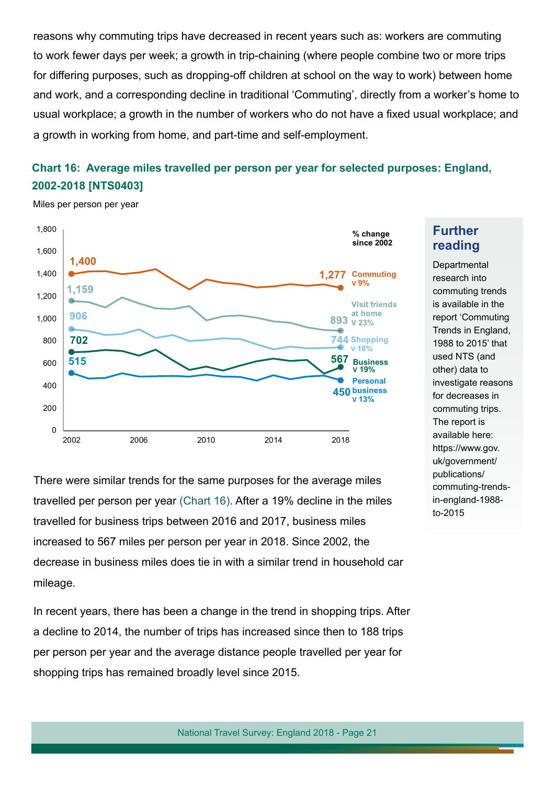reasons why commuting trips have decreased in recent years such as: workers are commuting to work fewer days per week; a growth in trip-chaining (where people combine two or more trips for differing purposes, such as dropping-off children at school on the way to work) between home and work, and a corresponding decline in traditional 'Commuting', directly from a worker's home to usual workplace; a growth in the number of workers who do not have a fxed usual workplace; and a growth in working from home, and part-time and self-employment.

### **Chart 16: Average miles travelled per person per year for selected purposes: England, 2002-2018 [NTS0403]**



Miles per person per year

There were similar trends for the same purposes for the average miles travelled per person per year (Chart 16). After a 19% decline in the miles travelled for business trips between 2016 and 2017, business miles increased to 567 miles per person per year in 2018. Since 2002, the decrease in business miles does tie in with a similar trend in household car mileage.

In recent years, there has been a change in the trend in shopping trips. After a decline to 2014, the number of trips has increased since then to 188 trips per person per year and the average distance people travelled per year for shopping trips has remained broadly level since 2015.

National Travel Survey: England 2018 - Page 21

### **Further reading**

**Departmental** research into commuting trends is available in the report 'Commuting Trends in England, 1988 to 2015' that used NTS (and other) data to investigate reasons for decreases in commuting trips. The report is available here: https://www.gov. uk/government/ publications/ commuting-trendsin-england-1988 to-2015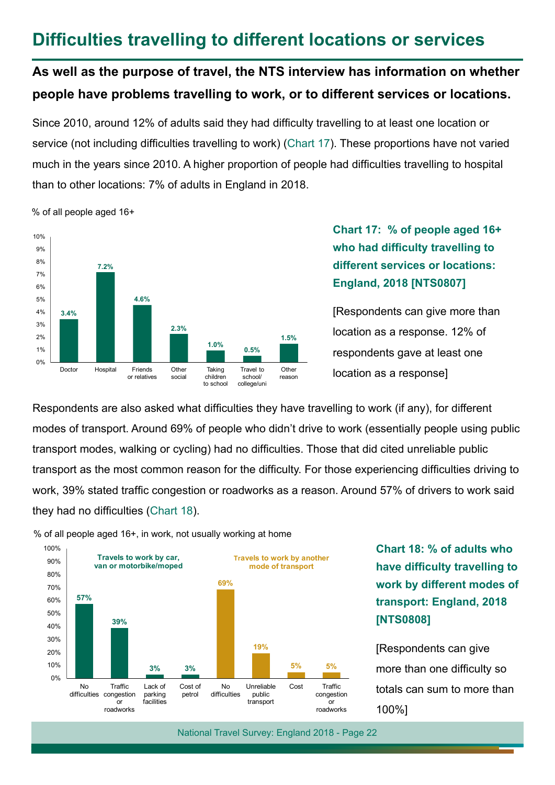### **Diffculties travelling to different locations or services**

### **As well as the purpose of travel, the NTS interview has information on whether people have problems travelling to work, or to different services or locations.**

Since 2010, around 12% of adults said they had difficulty travelling to at least one location or service (not including difficulties travelling to work) (Chart 17). These proportions have not varied much in the years since 2010. A higher proportion of people had difficulties travelling to hospital than to other locations: 7% of adults in England in 2018.

**3.4% 7.2% 4.6% 2.3% 1.0% 0.5% 1.5%** Doctor Hospital Friends or relatives **Other** social Taking children to school Travel to school/ college/uni Other reason 0% 1% 2% 3% 4% 5% 6% 7% 8% 9% 10%

#### % of all people aged 16+

### **Chart 17: % of people aged 16+**  who had difficulty travelling to **different services or locations: England, 2018 [NTS0807]**

[Respondents can give more than location as a response. 12% of respondents gave at least one location as a response]

Respondents are also asked what difficulties they have travelling to work (if any), for different modes of transport. Around 69% of people who didn't drive to work (essentially people using public transport modes, walking or cycling) had no difficulties. Those that did cited unreliable public transport as the most common reason for the difficulty. For those experiencing difficulties driving to work, 39% stated traffic congestion or roadworks as a reason. Around 57% of drivers to work said they had no difficulties (Chart 18).



% of all people aged 16+, in work, not usually working at home

**Chart 18: % of adults who have difficulty travelling to work by different modes of transport: England, 2018 [NTS0808]**

[Respondents can give more than one difficulty so totals can sum to more than 100%]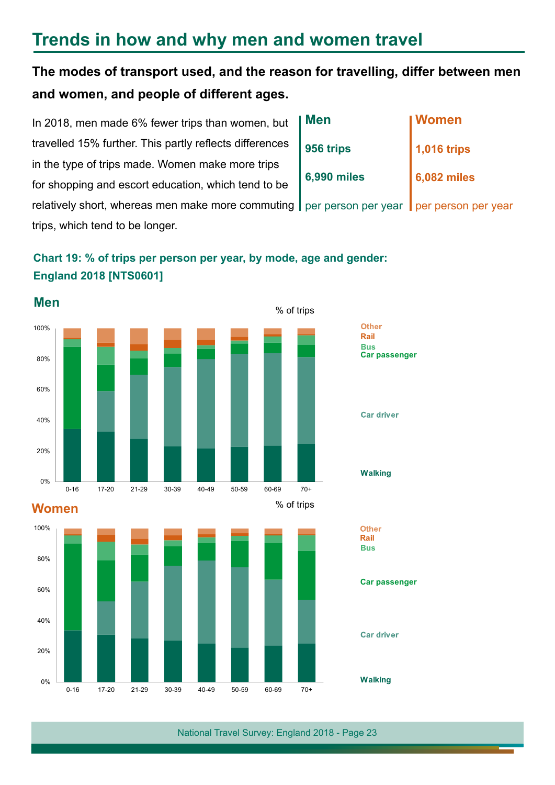### **Trends in how and why men and women travel**

### **The modes of transport used, and the reason for travelling, differ between men and women, and people of different ages.**

In 2018, men made 6% fewer trips than women, but travelled 15% further. This partly refects differences in the type of trips made. Women make more trips for shopping and escort education, which tend to be relatively short, whereas men make more commuting per person per year trips, which tend to be longer. **Men 956 trips 6,990 miles Women 1,016 trips 6,082 miles** per person per year









**Car passenger**

**Car driver** 

**Walking**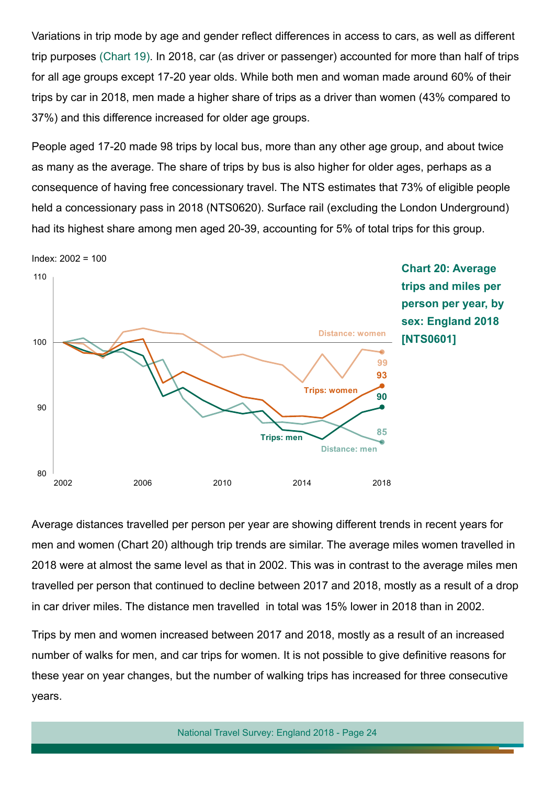Variations in trip mode by age and gender refect differences in access to cars, as well as different trip purposes (Chart 19). In 2018, car (as driver or passenger) accounted for more than half of trips for all age groups except 17-20 year olds. While both men and woman made around 60% of their trips by car in 2018, men made a higher share of trips as a driver than women (43% compared to 37%) and this difference increased for older age groups.

People aged 17-20 made 98 trips by local bus, more than any other age group, and about twice as many as the average. The share of trips by bus is also higher for older ages, perhaps as a consequence of having free concessionary travel. The NTS estimates that 73% of eligible people held a concessionary pass in 2018 (NTS0620). Surface rail (excluding the London Underground) had its highest share among men aged 20-39, accounting for 5% of total trips for this group.



Average distances travelled per person per year are showing different trends in recent years for men and women (Chart 20) although trip trends are similar. The average miles women travelled in 2018 were at almost the same level as that in 2002. This was in contrast to the average miles men travelled per person that continued to decline between 2017 and 2018, mostly as a result of a drop in car driver miles. The distance men travelled in total was 15% lower in 2018 than in 2002.

Trips by men and women increased between 2017 and 2018, mostly as a result of an increased number of walks for men, and car trips for women. It is not possible to give defnitive reasons for these year on year changes, but the number of walking trips has increased for three consecutive years.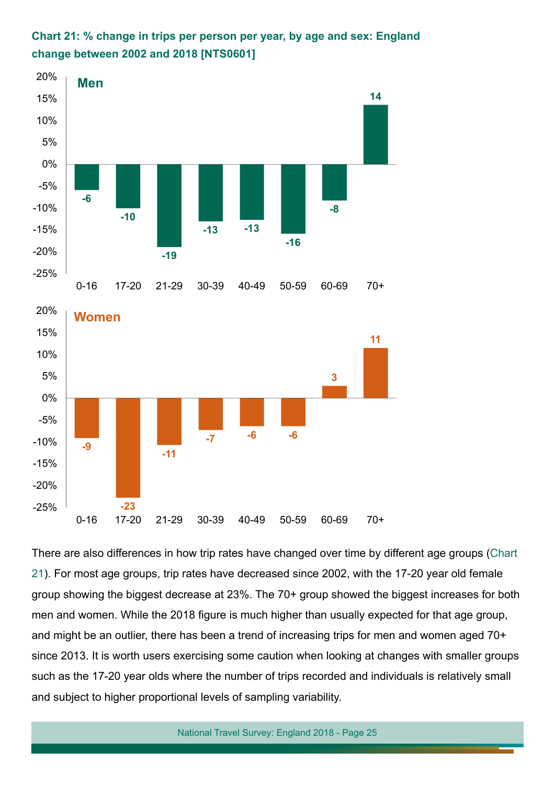





There are also differences in how trip rates have changed over time by different age groups (Chart 21). For most age groups, trip rates have decreased since 2002, with the 17-20 year old female group showing the biggest decrease at 23%. The 70+ group showed the biggest increases for both men and women. While the 2018 figure is much higher than usually expected for that age group, and might be an outlier, there has been a trend of increasing trips for men and women aged 70+ since 2013. It is worth users exercising some caution when looking at changes with smaller groups such as the 17-20 year olds where the number of trips recorded and individuals is relatively small and subject to higher proportional levels of sampling variability.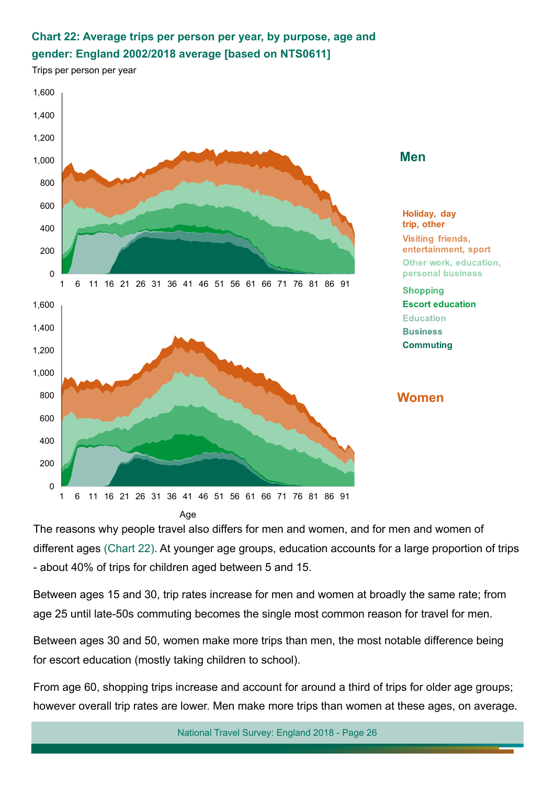### **Chart 22: Average trips per person per year, by purpose, age and gender: England 2002/2018 average [based on NTS0611]**

Trips per person per year



The reasons why people travel also differs for men and women, and for men and women of different ages (Chart 22). At younger age groups, education accounts for a large proportion of trips - about 40% of trips for children aged between 5 and 15.

Between ages 15 and 30, trip rates increase for men and women at broadly the same rate; from age 25 until late-50s commuting becomes the single most common reason for travel for men.

Between ages 30 and 50, women make more trips than men, the most notable difference being for escort education (mostly taking children to school).

From age 60, shopping trips increase and account for around a third of trips for older age groups; however overall trip rates are lower. Men make more trips than women at these ages, on average.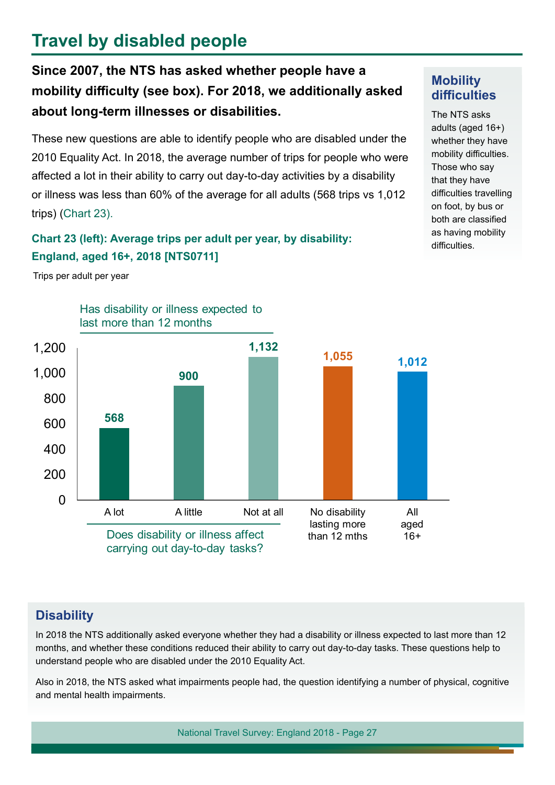## **Travel by disabled people**

### **Since 2007, the NTS has asked whether people have a mobility difculty (see box). For 2018, we additionally asked about long-term illnesses or disabilities.**

These new questions are able to identify people who are disabled under the 2010 Equality Act. In 2018, the average number of trips for people who were afected a lot in their ability to carry out day-to-day activities by a disability or illness was less than 60% of the average for all adults (568 trips vs 1,012 trips) (Chart 23).

#### **Chart 23 (left): Average trips per adult per year, by disability: England, aged 16+, 2018 [NTS0711]**

Trips per adult per year



#### **Mobility**  difficulties

The NTS asks adults (aged 16+) whether they have mobility difficulties. Those who say that they have difficulties travelling on foot, by bus or both are classifed as having mobility difficulties.

### **Disability**

In 2018 the NTS additionally asked everyone whether they had a disability or illness expected to last more than 12 months, and whether these conditions reduced their ability to carry out day-to-day tasks. These questions help to understand people who are disabled under the 2010 Equality Act.

Also in 2018, the NTS asked what impairments people had, the question identifying a number of physical, cognitive and mental health impairments.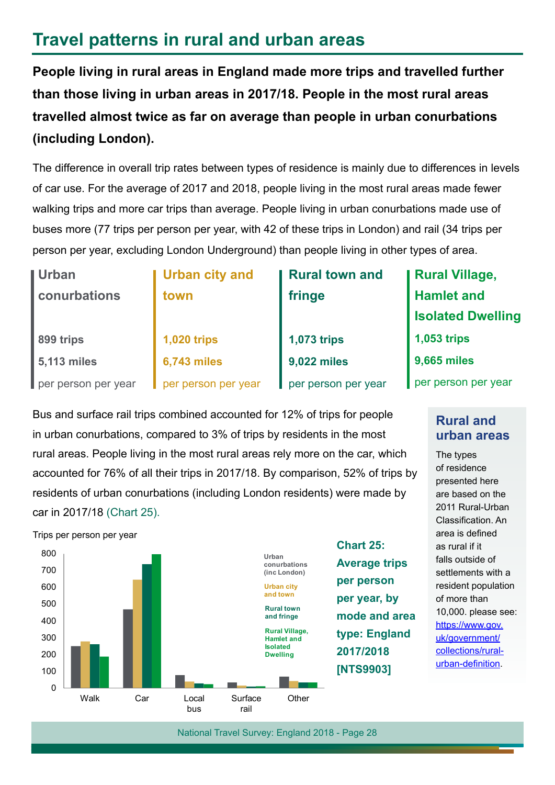### **Travel patterns in rural and urban areas**

**People living in rural areas in England made more trips and travelled further than those living in urban areas in 2017/18. People in the most rural areas travelled almost twice as far on average than people in urban conurbations (including London).**

The difference in overall trip rates between types of residence is mainly due to differences in levels of car use. For the average of 2017 and 2018, people living in the most rural areas made fewer walking trips and more car trips than average. People living in urban conurbations made use of buses more (77 trips per person per year, with 42 of these trips in London) and rail (34 trips per person per year, excluding London Underground) than people living in other types of area.

| <b>Urban</b>        | <b>Urban city and</b> | <b>Rural town and</b> | <b>  Rural Village,</b>  |
|---------------------|-----------------------|-----------------------|--------------------------|
| conurbations        | town                  | fringe                | <b>Hamlet and</b>        |
|                     |                       |                       | <b>Isolated Dwelling</b> |
| 899 trips           | <b>1,020 trips</b>    | <b>1,073 trips</b>    | <b>1,053 trips</b>       |
| 5,113 miles         | <b>6,743 miles</b>    | 9,022 miles           | 9,665 miles              |
| per person per year | per person per year   | per person per year   | per person per year      |
|                     |                       |                       |                          |

Bus and surface rail trips combined accounted for 12% of trips for people in urban conurbations, compared to 3% of trips by residents in the most rural areas. People living in the most rural areas rely more on the car, which accounted for 76% of all their trips in 2017/18. By comparison, 52% of trips by residents of urban conurbations (including London residents) were made by car in 2017/18 (Chart 25).



**Rural and urban areas**

The types of residence presented here are based on the 2011 Rural-Urban Classification. An area is defned as rural if it falls outside of settlements with a resident population of more than 10,000. please see: [https://www.gov.](https://www.gov.uk/government/collections/rural-urban-classification) [uk/government/](https://www.gov.uk/government/collections/rural-urban-classification) [collections/rural](https://www.gov.uk/government/collections/rural-urban-classification)[urban-defnition](https://www.gov.uk/government/collections/rural-urban-classification).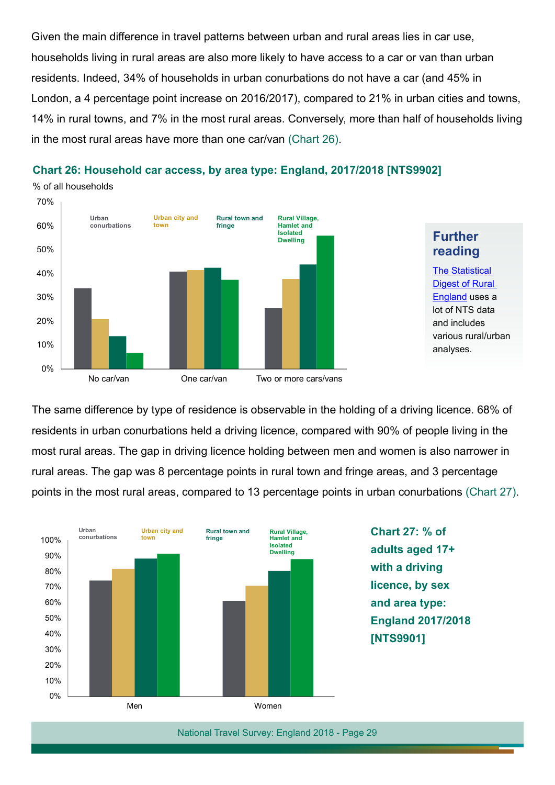Given the main difference in travel patterns between urban and rural areas lies in car use, households living in rural areas are also more likely to have access to a car or van than urban residents. Indeed, 34% of households in urban conurbations do not have a car (and 45% in London, a 4 percentage point increase on 2016/2017), compared to 21% in urban cities and towns, 14% in rural towns, and 7% in the most rural areas. Conversely, more than half of households living in the most rural areas have more than one car/van (Chart 26).



#### **Chart 26: Household car access, by area type: England, 2017/2018 [NTS9902]**

The same difference by type of residence is observable in the holding of a driving licence. 68% of residents in urban conurbations held a driving licence, compared with 90% of people living in the most rural areas. The gap in driving licence holding between men and women is also narrower in rural areas. The gap was 8 percentage points in rural town and fringe areas, and 3 percentage points in the most rural areas, compared to 13 percentage points in urban conurbations (Chart 27).



**Chart 27: % of adults aged 17+ with a driving licence, by sex and area type: England 2017/2018 [NTS9901]**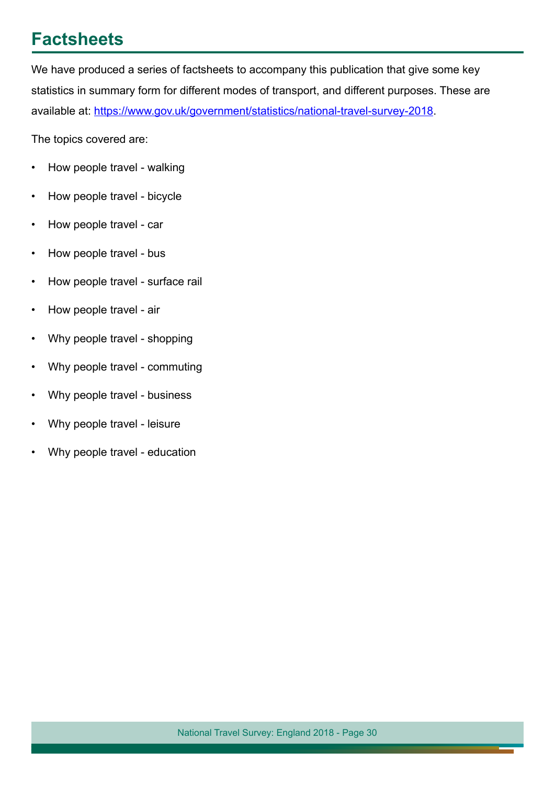### **Factsheets**

We have produced a series of factsheets to accompany this publication that give some key statistics in summary form for different modes of transport, and different purposes. These are available at: https://www.gov.uk/government/statistics/national-travel-survey-2018.

The topics covered are:

- How people travel walking
- How people travel bicycle
- How people travel car
- How people travel bus
- How people travel surface rail
- How people travel air
- Why people travel shopping
- Why people travel commuting
- Why people travel business
- Why people travel leisure
- Why people travel education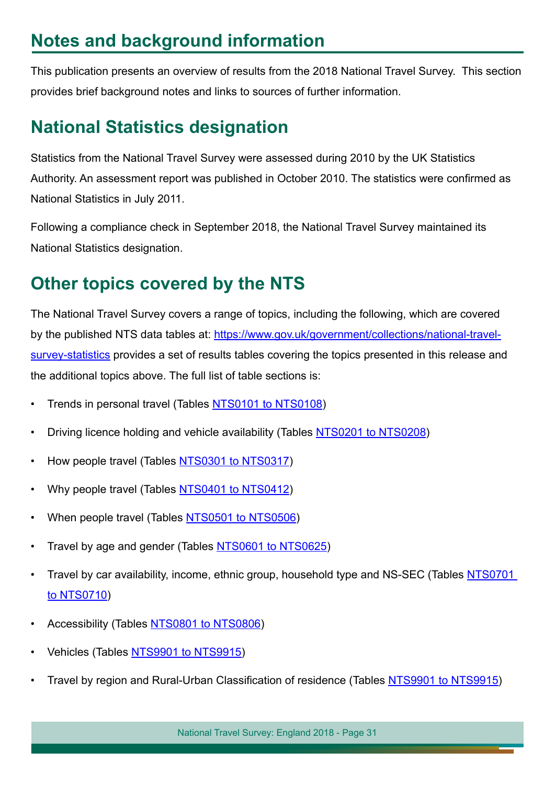## **Notes and background information**

This publication presents an overview of results from the 2018 National Travel Survey. This section provides brief background notes and links to sources of further information.

### **National Statistics designation**

Statistics from the National Travel Survey were assessed during 2010 by the UK Statistics Authority. An assessment report was published in October 2010. The statistics were confrmed as National Statistics in July 2011.

Following a compliance check in September 2018, the National Travel Survey maintained its National Statistics designation.

## **Other topics covered by the NTS**

The National Travel Survey covers a range of topics, including the following, which are covered by the published NTS data tables at: [https://www.gov.uk/government/collections/national-travel](https://www.gov.uk/government/collections/national-travel-survey-statistics)[survey-statistics](https://www.gov.uk/government/collections/national-travel-survey-statistics) provides a set of results tables covering the topics presented in this release and the additional topics above. The full list of table sections is:

- Trends in personal travel (Tables [NTS0101 to NTS0108\)](https://www.gov.uk/government/statistical-data-sets/nts01-average-number-of-trips-made-and-distance-travelled)
- Driving licence holding and vehicle availability (Tables [NTS0201 to NTS0208](https://www.gov.uk/government/statistical-data-sets/nts02-driving-licence-holders))
- How people travel (Tables [NTS0301 to NTS0317](https://www.gov.uk/government/statistical-data-sets/nts03-modal-comparisons))
- Why people travel (Tables [NTS0401 to NTS0412](https://www.gov.uk/government/statistical-data-sets/nts04-purpose-of-trips))
- When people travel (Tables [NTS0501 to NTS0506\)](https://www.gov.uk/government/statistical-data-sets/nts05-trips)
- Travel by age and gender (Tables [NTS0601 to NTS0625\)](https://www.gov.uk/government/statistical-data-sets/nts06-age-gender-and-modal-breakdown)
- Travel by car availability, income, ethnic group, household type and NS-SEC (Tables [NTS0701](https://www.gov.uk/government/statistical-data-sets/nts07-car-ownership-and-access) [to NTS0710\)](https://www.gov.uk/government/statistical-data-sets/nts07-car-ownership-and-access)
- Accessibility (Tables [NTS0801 to NTS0806\)](https://www.gov.uk/government/statistical-data-sets/nts08-availability-and-distance-from-key-local-services)
- Vehicles (Tables [NTS9901 to NTS9915](https://www.gov.uk/government/statistical-data-sets/nts99-travel-by-region-and-area-type-of-residence))
- Travel by region and Rural-Urban Classifcation of residence (Tables [NTS9901 to NTS9915\)](https://www.gov.uk/government/statistical-data-sets/nts99-travel-by-region-and-area-type-of-residence)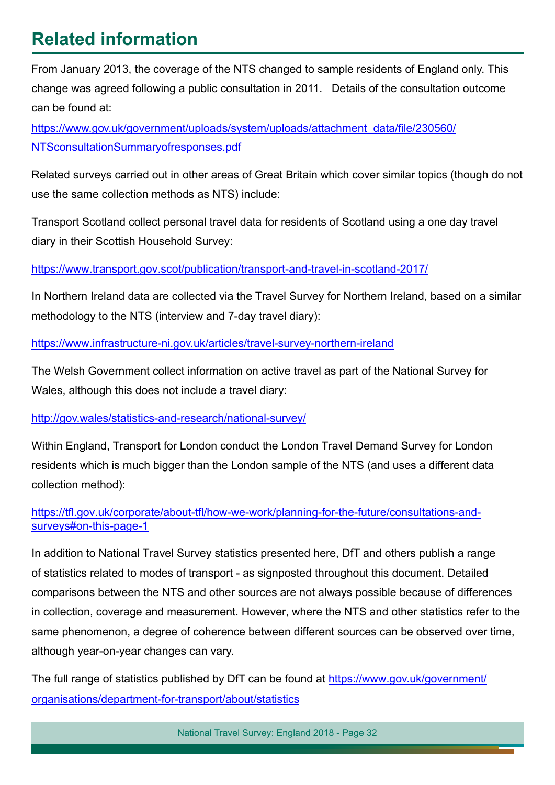## **Related information**

From January 2013, the coverage of the NTS changed to sample residents of England only. This change was agreed following a public consultation in 2011. Details of the consultation outcome can be found at:

[https://www.gov.uk/government/uploads/system/uploads/attachment](https://www.gov.uk/government/uploads/system/uploads/attachment_data/file/230560/NTSconsultationSummaryofresponses.pdf) data/fle/230560/ [NTSconsultationSummaryofresponses.pdf](https://www.gov.uk/government/uploads/system/uploads/attachment_data/file/230560/NTSconsultationSummaryofresponses.pdf)

Related surveys carried out in other areas of Great Britain which cover similar topics (though do not use the same collection methods as NTS) include:

Transport Scotland collect personal travel data for residents of Scotland using a one day travel diary in their Scottish Household Survey:

<https://www.transport.gov.scot/publication/transport-and-travel-in-scotland-2017/>

[In Northe](http://www.transportscotland.gov.uk/statistics/scottish-household-survey-travel-diary-results-all-editions)rn Ireland data are collected via the Travel Survey for Northern Ireland, based on a similar methodology to the NTS (interview and 7-day travel diary):

<https://www.infrastructure-ni.gov.uk/articles/travel-survey-northern-ireland>

The Welsh Government collect information on active travel as part of the National Survey for Wales, although this does not include a travel diary:

#### http://gov.wales/statistics-and-research/national-survey/

[Within England, Transport for London conduct the Londo](http://gov.wales/statistics-and-research/national-survey/)n Travel Demand Survey for London residents which is much bigger than the London sample of the NTS (and uses a different data collection method):

#### [https://tfl.gov.uk/corporate/about-tfl/how-we-work/planning-for-the-future/consultations-and](https://tfl.gov.uk/corporate/about-tfl/how-we-work/planning-for-the-future/consultations-and-surveys#on-this-page-1)[surveys#on-this-page-1](http://tfl.gov.uk/corporate/publications-and-reports/london-travel-demand-survey)

In addition to National Travel Survey statistics presented here, DfT and others publish a range of statistics related to modes of transport - as signposted throughout this document. Detailed comparisons between the NTS and other sources are not always possible because of differences in collection, coverage and measurement. However, where the NTS and other statistics refer to the same phenomenon, a degree of coherence between different sources can be observed over time, although year-on-year changes can vary.

The full range of statistics published by DfT can be found at [https://www.gov.uk/government/](https://www.gov.uk/government/organisations/department-for-transport/about/statistics) [organisations/department-for-transport/about/statistics](https://www.gov.uk/government/organisations/department-for-transport/about/statistics)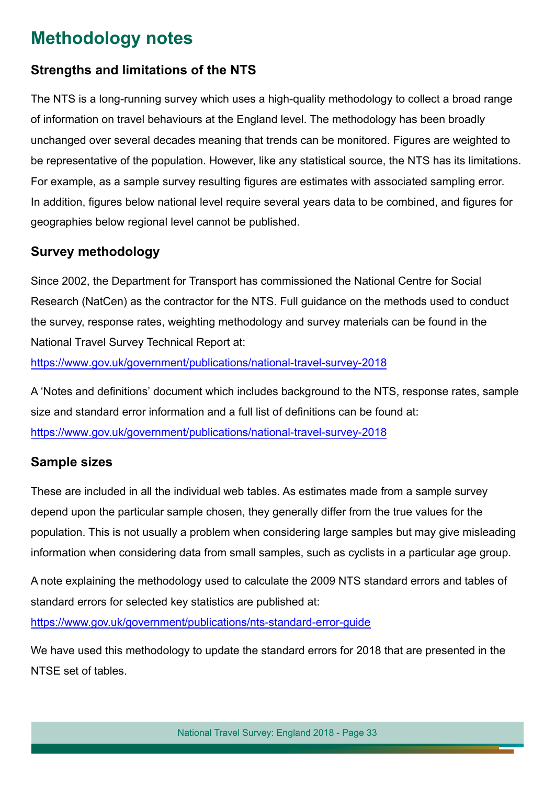### **Methodology notes**

#### **Strengths and limitations of the NTS**

The NTS is a long-running survey which uses a high-quality methodology to collect a broad range of information on travel behaviours at the England level. The methodology has been broadly unchanged over several decades meaning that trends can be monitored. Figures are weighted to be representative of the population. However, like any statistical source, the NTS has its limitations. For example, as a sample survey resulting figures are estimates with associated sampling error. In addition, figures below national level require several years data to be combined, and figures for geographies below regional level cannot be published.

#### **Survey methodology**

Since 2002, the Department for Transport has commissioned the National Centre for Social Research (NatCen) as the contractor for the NTS. Full guidance on the methods used to conduct the survey, response rates, weighting methodology and survey materials can be found in the National Travel Survey Technical Report at:

[https://www.gov.uk/government/publications/national-travel-survey-201](https://www.gov.uk/government/statistics/national-travel-survey-2018)8

A 'Notes and defnitions' document which includes background to the NTS, response rates, sample size and standard error information and a full list of definitions can be found at: [https://www.gov.uk/government/publications/national-travel-survey-201](https://www.gov.uk/government/statistics/national-travel-survey-2018)8

#### **Sample sizes**

These are included in all the individual web tables. As estimates made from a sample survey depend upon the particular sample chosen, they generally differ from the true values for the population. This is not usually a problem when considering large samples but may give misleading information when considering data from small samples, such as cyclists in a particular age group.

A note explaining the methodology used to calculate the 2009 NTS standard errors and tables of standard errors for selected key statistics are published at:

<https://www.gov.uk/government/publications/nts-standard-error-guide>

We have used this methodology to update the standard errors for 2018 that are presented in the NTSE set of tables.